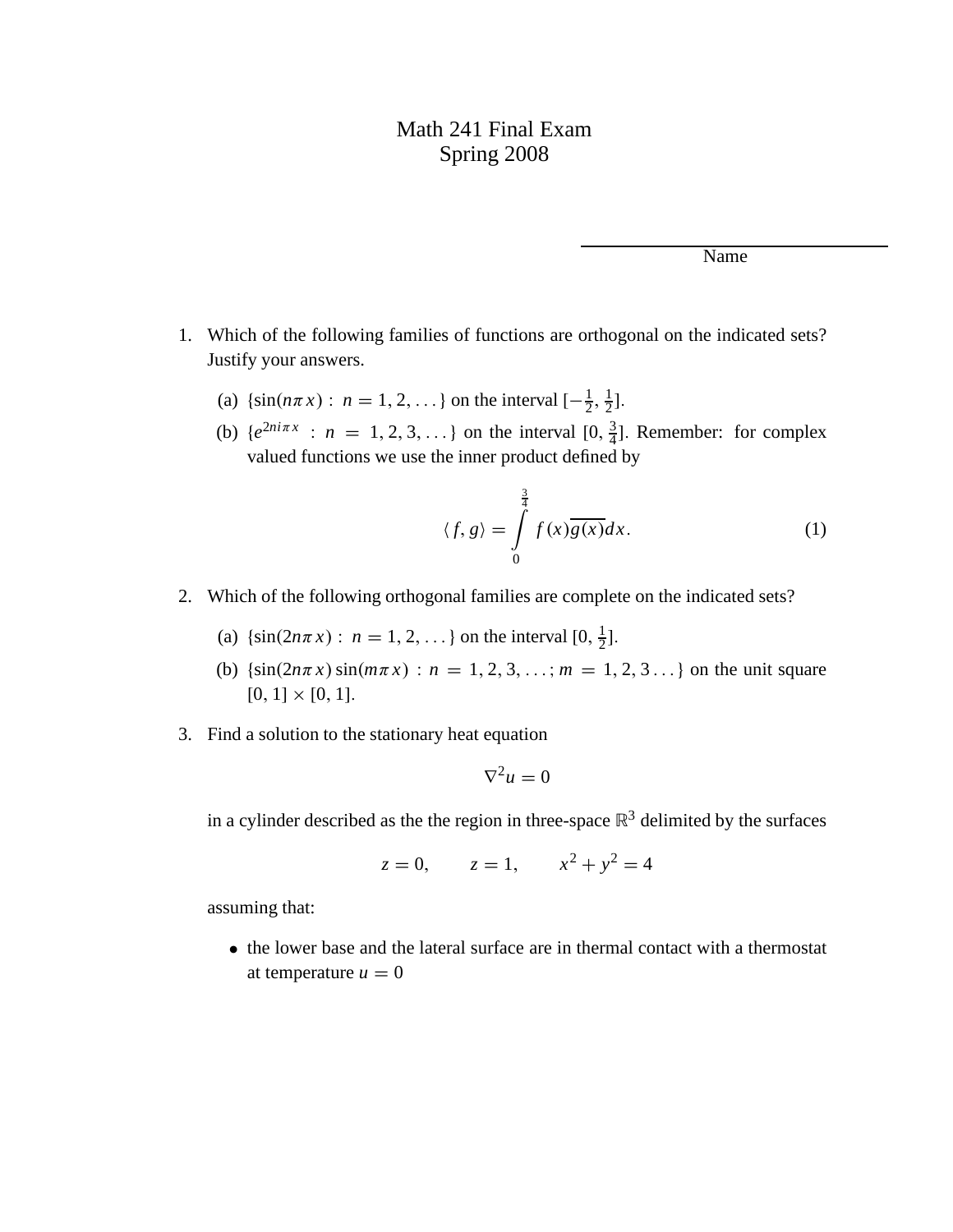## Math 241 Final Exam Spring 2008

Name

- 1. Which of the following families of functions are orthogonal on the indicated sets? Justify your answers.
	- (a)  $\{\sin(n\pi x) : n = 1, 2, ...\}$  on the interval  $[-\frac{1}{2}, \frac{1}{2}]$  $\frac{1}{2}$ ].
	- (b)  $\{e^{2ni\pi x}: n = 1, 2, 3, ...\}$  on the interval  $[0, \frac{3}{4}]$  $\frac{3}{4}$ ]. Remember: for complex valued functions we use the inner product defined by

$$
\langle f, g \rangle = \int_{0}^{\frac{3}{4}} f(x) \overline{g(x)} dx.
$$
 (1)

- 2. Which of the following orthogonal families are complete on the indicated sets?
	- (a)  $\{\sin(2n\pi x): n = 1, 2, ...\}$  on the interval  $[0, \frac{1}{2}]$  $\frac{1}{2}$ ].
	- (b)  $\{\sin(2n\pi x)\sin(m\pi x): n = 1, 2, 3, \ldots; m = 1, 2, 3 \ldots\}$  on the unit square  $[0, 1] \times [0, 1].$
- 3. Find a solution to the stationary heat equation

$$
\nabla^2 u = 0
$$

in a cylinder described as the the region in three-space  $\mathbb{R}^3$  delimited by the surfaces

$$
z = 0
$$
,  $z = 1$ ,  $x^2 + y^2 = 4$ 

assuming that:

• the lower base and the lateral surface are in thermal contact with a thermostat at temperature  $u = 0$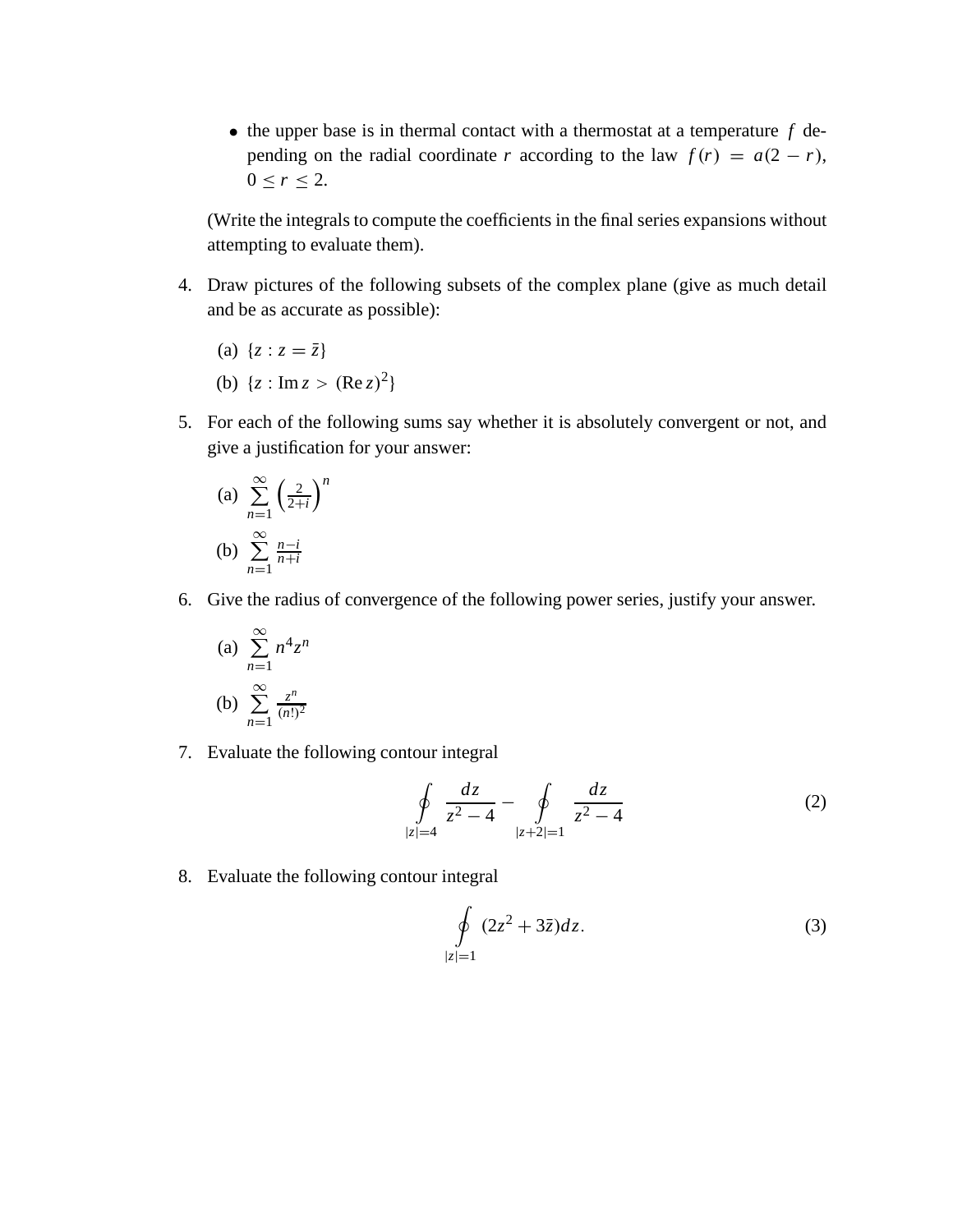$\bullet$  the upper base is in thermal contact with a thermostat at a temperature  $f$  depending on the radial coordinate *r* according to the law  $f(r) = a(2 - r)$ ,  $0 \le r \le 2$ .

(Write the integrals to compute the coefficients in the final series expansions without attempting to evaluate them).

- 4. Draw pictures of the following subsets of the complex plane (give as much detail and be as accurate as possible):
	- (a)  $\{z : z = \bar{z}\}\)$
	- (b)  $\{z : \text{Im } z > (\text{Re } z)^2\}$
- 5. For each of the following sums say whether it is absolutely convergent or not, and give a justification for your answer:

(a) 
$$
\sum_{n=1}^{\infty} \left(\frac{2}{2+i}\right)^n
$$
  
(b) 
$$
\sum_{n=1}^{\infty} \frac{n-i}{n+i}
$$

6. Give the radius of convergence of the following power series, justify your answer.

(a) 
$$
\sum_{n=1}^{\infty} n^4 z^n
$$
  
(b) 
$$
\sum_{n=1}^{\infty} \frac{z^n}{(n!)^2}
$$

7. Evaluate the following contour integral

$$
\oint_{|z|=4} \frac{dz}{z^2 - 4} - \oint_{|z+2|=1} \frac{dz}{z^2 - 4}
$$
\n(2)

8. Evaluate the following contour integral

$$
\oint\limits_{|z|=1} (2z^2 + 3\overline{z})dz.
$$
\n(3)